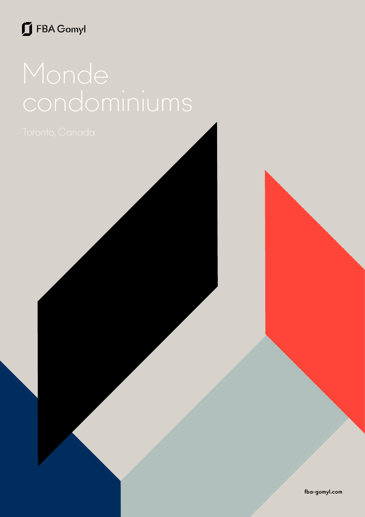## FBA Gomyl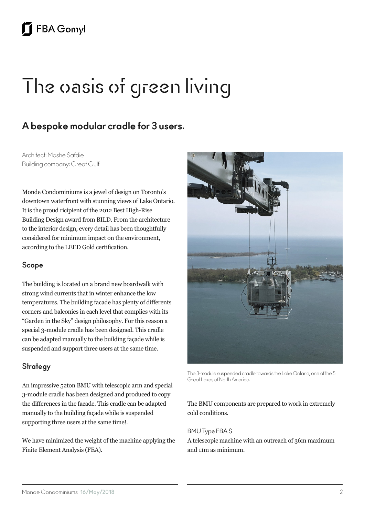# The oasis of green living

### **A bespoke modular cradle for 3 users.**

Architect: Moshe Safdie Building company: Great Gulf

Monde Condominiums is a jewel of design on Toronto's downtown waterfront with stunning views of Lake Ontario. It is the proud ricipient of the 2012 Best High-Rise Building Design award from BILD. From the architecture to the interior design, every detail has been thoughtfully considered for minimum impact on the environment, according to the LEED Gold certification.

#### **Scope**

The building is located on a brand new boardwalk with strong wind currents that in winter enhance the low temperatures. The building facade has plenty of differents corners and balconies in each level that complies with its "Garden in the Sky" design philosophy. For this reason a special 3-module cradle has been designed. This cradle can be adapted manually to the building façade while is suspended and support three users at the same time.

#### **Strategy**

An impressive 52ton BMU with telescopic arm and special 3-module cradle has been designed and produced to copy the differences in the facade. This cradle can be adapted manually to the building façade while is suspended supporting three users at the same time!.

We have minimized the weight of the machine applying the Finite Element Analysis (FEA).



The 3-module suspended cradle towards the Lake Ontario, one of the 5 Great Lakes of North America.

#### The BMU components are prepared to work in extremely cold conditions.

#### BMU Type FBA S

A telescopic machine with an outreach of 36m maximum and 11m as minimum.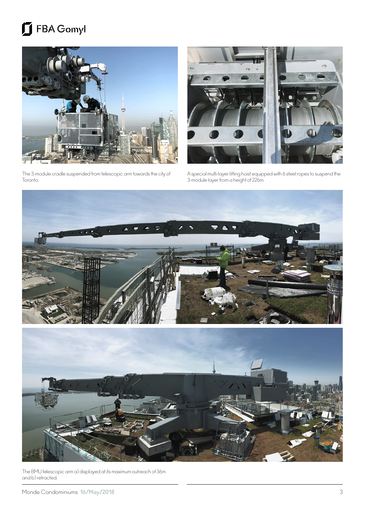## FBA Gomyl



The 3-module cradle suspended from telescopic arm towards the city of Toronto.



A special multi-layer lifting hoist equipped with 6 steel ropes to suspend the 3-module layer from a height of 226m.



The BMU telescopic arm a) displayed at its maximum outreach of 36m and b) retracted.